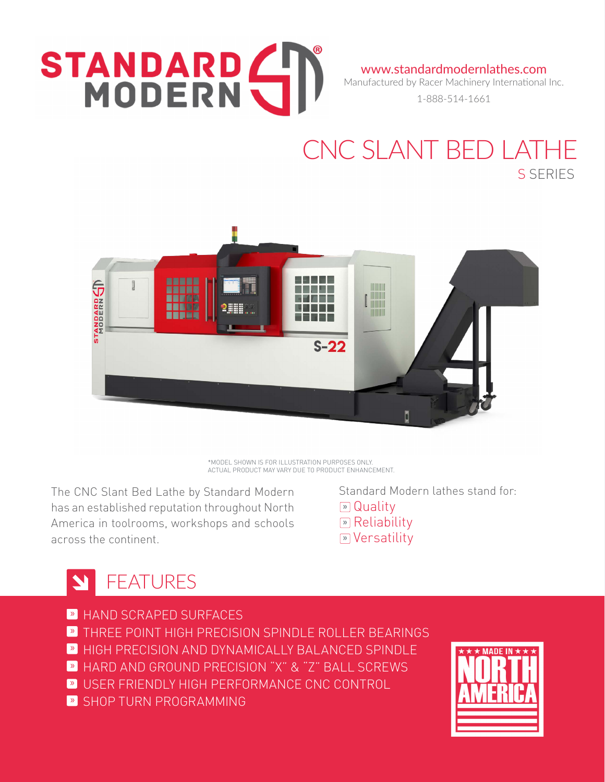# STANDARD (

www.standardmodernlathes.com Manufactured by Racer Machinery International Inc.

1-888-514-1661

### CNC SLANT BED LATHE S SERIES



\*MODEL SHOWN IS FOR ILLUSTRATION PURPOSES ONLY. ACTUAL PRODUCT MAY VARY DUE TO PRODUCT ENHANCEMENT.

The CNC Slant Bed Lathe by Standard Modern has an established reputation throughout North America in toolrooms, workshops and schools across the continent.

 Standard Modern lathes stand for: **»** Quality **»** Reliability **»** Versatility

#### FEATURES N

- » HAND SCRAPED SURFACES
- **»** THREE POINT HIGH PRECISION SPINDLE ROLLER BEARINGS
- **HIGH PRECISION AND DYNAMICALLY BALANCED SPINDLE**
- » HARD AND GROUND PRECISION "X" & "Z" BALL SCREWS
- » USER FRIENDLY HIGH PERFORMANCE CNC CONTROL
- » SHOP TURN PROGRAMMING